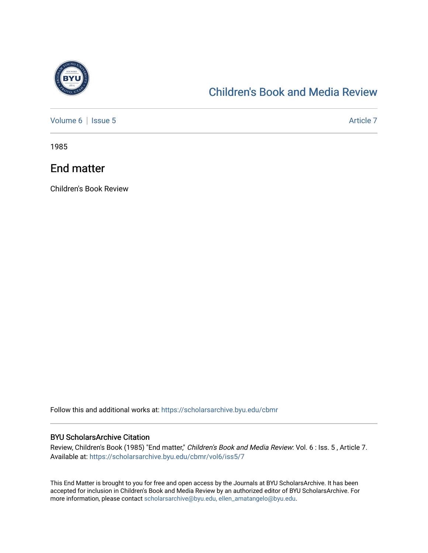

## [Children's Book and Media Review](https://scholarsarchive.byu.edu/cbmr)

[Volume 6](https://scholarsarchive.byu.edu/cbmr/vol6) | [Issue 5](https://scholarsarchive.byu.edu/cbmr/vol6/iss5) Article 7

1985

## End matter

Children's Book Review

Follow this and additional works at: [https://scholarsarchive.byu.edu/cbmr](https://scholarsarchive.byu.edu/cbmr?utm_source=scholarsarchive.byu.edu%2Fcbmr%2Fvol6%2Fiss5%2F7&utm_medium=PDF&utm_campaign=PDFCoverPages) 

## BYU ScholarsArchive Citation

Review, Children's Book (1985) "End matter," Children's Book and Media Review: Vol. 6 : Iss. 5 , Article 7. Available at: [https://scholarsarchive.byu.edu/cbmr/vol6/iss5/7](https://scholarsarchive.byu.edu/cbmr/vol6/iss5/7?utm_source=scholarsarchive.byu.edu%2Fcbmr%2Fvol6%2Fiss5%2F7&utm_medium=PDF&utm_campaign=PDFCoverPages) 

This End Matter is brought to you for free and open access by the Journals at BYU ScholarsArchive. It has been accepted for inclusion in Children's Book and Media Review by an authorized editor of BYU ScholarsArchive. For more information, please contact [scholarsarchive@byu.edu, ellen\\_amatangelo@byu.edu.](mailto:scholarsarchive@byu.edu,%20ellen_amatangelo@byu.edu)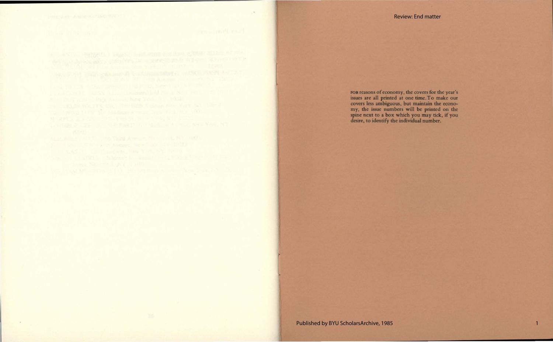## Review: End matter

FOR reasons of economy, the covers for the year's issues are all printed at one time. To make our covers less ambiguous, but maintain the economy, the issue numbers will be printed on the spine next to a box which you may tick, if you desire, to identify the individual number.